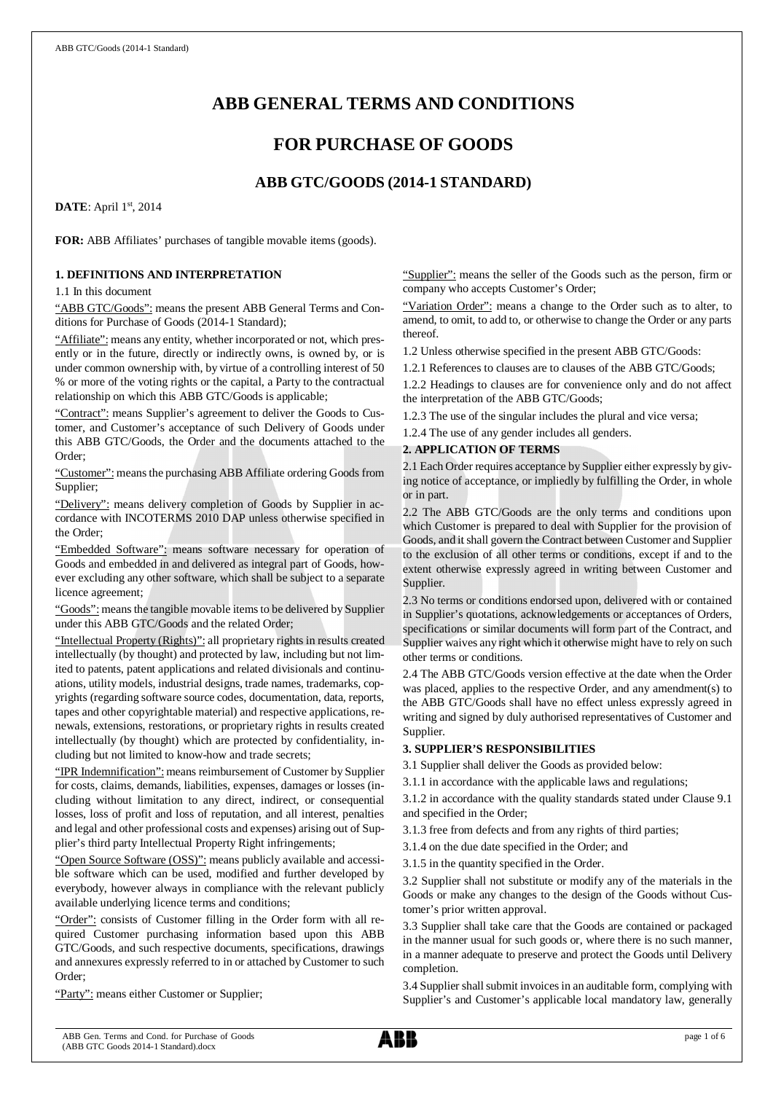# **ABB GENERAL TERMS AND CONDITIONS**

## **FOR PURCHASE OF GOODS**

## **ABB GTC/GOODS (2014-1 STANDARD)**

**DATE**: April 1st, 2014

**FOR:** ABB Affiliates' purchases of tangible movable items (goods).

## **1. DEFINITIONS AND INTERPRETATION**

1.1 In this document

"ABB GTC/Goods": means the present ABB General Terms and Conditions for Purchase of Goods (2014-1 Standard);

"Affiliate": means any entity, whether incorporated or not, which presently or in the future, directly or indirectly owns, is owned by, or is under common ownership with, by virtue of a controlling interest of 50 % or more of the voting rights or the capital, a Party to the contractual relationship on which this ABB GTC/Goods is applicable;

"Contract": means Supplier's agreement to deliver the Goods to Customer, and Customer's acceptance of such Delivery of Goods under this ABB GTC/Goods, the Order and the documents attached to the Order;

"Customer": means the purchasing ABB Affiliate ordering Goods from Supplier;

"Delivery": means delivery completion of Goods by Supplier in accordance with INCOTERMS 2010 DAP unless otherwise specified in the Order;

"Embedded Software": means software necessary for operation of Goods and embedded in and delivered as integral part of Goods, however excluding any other software, which shall be subject to a separate licence agreement;

"Goods": means the tangible movable items to be delivered by Supplier under this ABB GTC/Goods and the related Order;

"Intellectual Property (Rights)": all proprietary rights in results created intellectually (by thought) and protected by law, including but not limited to patents, patent applications and related divisionals and continuations, utility models, industrial designs, trade names, trademarks, copyrights (regarding software source codes, documentation, data, reports, tapes and other copyrightable material) and respective applications, renewals, extensions, restorations, or proprietary rights in results created intellectually (by thought) which are protected by confidentiality, including but not limited to know-how and trade secrets;

"IPR Indemnification": means reimbursement of Customer by Supplier for costs, claims, demands, liabilities, expenses, damages or losses (including without limitation to any direct, indirect, or consequential losses, loss of profit and loss of reputation, and all interest, penalties and legal and other professional costs and expenses) arising out of Supplier's third party Intellectual Property Right infringements;

"Open Source Software (OSS)": means publicly available and accessible software which can be used, modified and further developed by everybody, however always in compliance with the relevant publicly available underlying licence terms and conditions;

"Order": consists of Customer filling in the Order form with all required Customer purchasing information based upon this ABB GTC/Goods, and such respective documents, specifications, drawings and annexures expressly referred to in or attached by Customer to such Order;

"Party": means either Customer or Supplier;

"Supplier": means the seller of the Goods such as the person, firm or company who accepts Customer's Order;

"Variation Order": means a change to the Order such as to alter, to amend, to omit, to add to, or otherwise to change the Order or any parts thereof.

1.2 Unless otherwise specified in the present ABB GTC/Goods:

1.2.1 References to clauses are to clauses of the ABB GTC/Goods;

1.2.2 Headings to clauses are for convenience only and do not affect the interpretation of the ABB GTC/Goods;

1.2.3 The use of the singular includes the plural and vice versa;

1.2.4 The use of any gender includes all genders.

## **2. APPLICATION OF TERMS**

2.1 Each Order requires acceptance by Supplier either expressly by giving notice of acceptance, or impliedly by fulfilling the Order, in whole or in part.

2.2 The ABB GTC/Goods are the only terms and conditions upon which Customer is prepared to deal with Supplier for the provision of Goods, and it shall govern the Contract between Customer and Supplier to the exclusion of all other terms or conditions, except if and to the extent otherwise expressly agreed in writing between Customer and Supplier.

2.3 No terms or conditions endorsed upon, delivered with or contained in Supplier's quotations, acknowledgements or acceptances of Orders, specifications or similar documents will form part of the Contract, and Supplier waives any right which it otherwise might have to rely on such other terms or conditions.

2.4 The ABB GTC/Goods version effective at the date when the Order was placed, applies to the respective Order, and any amendment(s) to the ABB GTC/Goods shall have no effect unless expressly agreed in writing and signed by duly authorised representatives of Customer and Supplier.

## **3. SUPPLIER'S RESPONSIBILITIES**

3.1 Supplier shall deliver the Goods as provided below:

3.1.1 in accordance with the applicable laws and regulations;

3.1.2 in accordance with the quality standards stated under Clause 9.1 and specified in the Order;

3.1.3 free from defects and from any rights of third parties;

3.1.4 on the due date specified in the Order; and

3.1.5 in the quantity specified in the Order.

3.2 Supplier shall not substitute or modify any of the materials in the Goods or make any changes to the design of the Goods without Customer's prior written approval.

3.3 Supplier shall take care that the Goods are contained or packaged in the manner usual for such goods or, where there is no such manner, in a manner adequate to preserve and protect the Goods until Delivery completion.

3.4 Supplier shall submit invoices in an auditable form, complying with Supplier's and Customer's applicable local mandatory law, generally

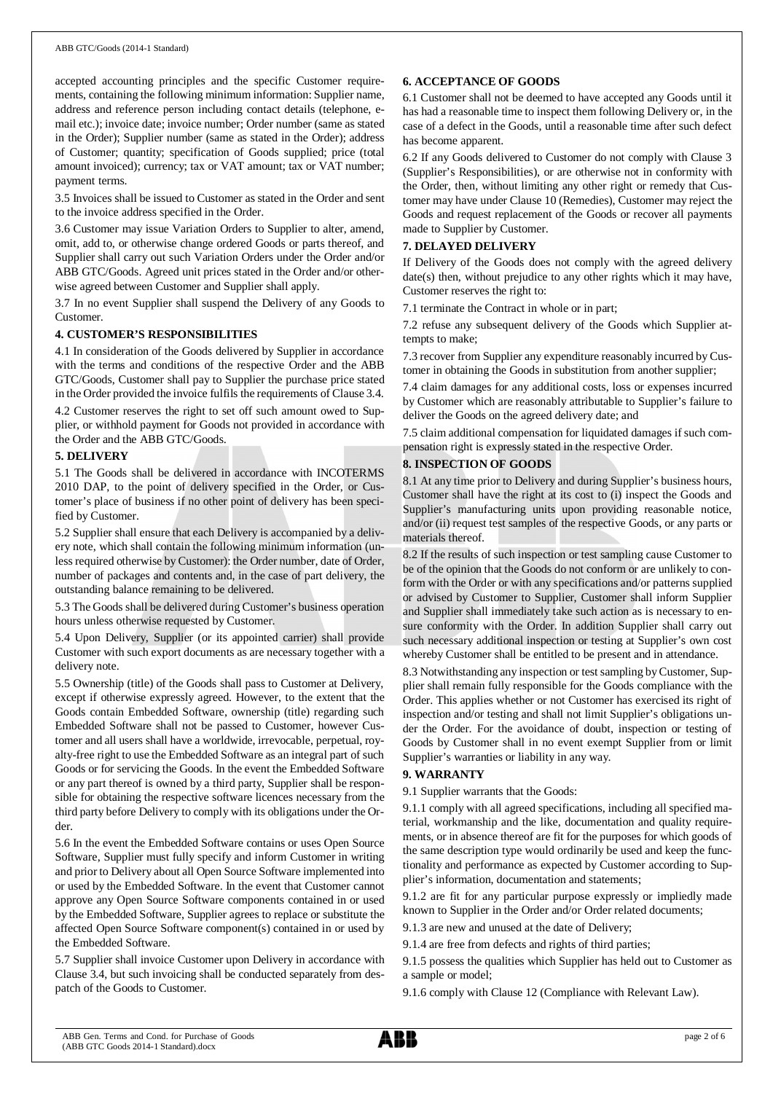#### ABB GTC/Goods (2014-1 Standard)

accepted accounting principles and the specific Customer requirements, containing the following minimum information: Supplier name, address and reference person including contact details (telephone, email etc.); invoice date; invoice number; Order number (same as stated in the Order); Supplier number (same as stated in the Order); address of Customer; quantity; specification of Goods supplied; price (total amount invoiced); currency; tax or VAT amount; tax or VAT number; payment terms.

3.5 Invoices shall be issued to Customer as stated in the Order and sent to the invoice address specified in the Order.

3.6 Customer may issue Variation Orders to Supplier to alter, amend, omit, add to, or otherwise change ordered Goods or parts thereof, and Supplier shall carry out such Variation Orders under the Order and/or ABB GTC/Goods. Agreed unit prices stated in the Order and/or otherwise agreed between Customer and Supplier shall apply.

3.7 In no event Supplier shall suspend the Delivery of any Goods to Customer.

#### **4. CUSTOMER'S RESPONSIBILITIES**

4.1 In consideration of the Goods delivered by Supplier in accordance with the terms and conditions of the respective Order and the ABB GTC/Goods, Customer shall pay to Supplier the purchase price stated in the Order provided the invoice fulfils the requirements of Clause 3.4.

4.2 Customer reserves the right to set off such amount owed to Supplier, or withhold payment for Goods not provided in accordance with the Order and the ABB GTC/Goods.

#### **5. DELIVERY**

5.1 The Goods shall be delivered in accordance with INCOTERMS 2010 DAP, to the point of delivery specified in the Order, or Customer's place of business if no other point of delivery has been specified by Customer.

5.2 Supplier shall ensure that each Delivery is accompanied by a delivery note, which shall contain the following minimum information (unless required otherwise by Customer): the Order number, date of Order, number of packages and contents and, in the case of part delivery, the outstanding balance remaining to be delivered.

5.3 The Goods shall be delivered during Customer's business operation hours unless otherwise requested by Customer.

5.4 Upon Delivery, Supplier (or its appointed carrier) shall provide Customer with such export documents as are necessary together with a delivery note.

5.5 Ownership (title) of the Goods shall pass to Customer at Delivery, except if otherwise expressly agreed. However, to the extent that the Goods contain Embedded Software, ownership (title) regarding such Embedded Software shall not be passed to Customer, however Customer and all users shall have a worldwide, irrevocable, perpetual, royalty-free right to use the Embedded Software as an integral part of such Goods or for servicing the Goods. In the event the Embedded Software or any part thereof is owned by a third party, Supplier shall be responsible for obtaining the respective software licences necessary from the third party before Delivery to comply with its obligations under the Order.

5.6 In the event the Embedded Software contains or uses Open Source Software, Supplier must fully specify and inform Customer in writing and prior to Delivery about all Open Source Software implemented into or used by the Embedded Software. In the event that Customer cannot approve any Open Source Software components contained in or used by the Embedded Software, Supplier agrees to replace or substitute the affected Open Source Software component(s) contained in or used by the Embedded Software.

5.7 Supplier shall invoice Customer upon Delivery in accordance with Clause 3.4, but such invoicing shall be conducted separately from despatch of the Goods to Customer.

#### **6. ACCEPTANCE OF GOODS**

6.1 Customer shall not be deemed to have accepted any Goods until it has had a reasonable time to inspect them following Delivery or, in the case of a defect in the Goods, until a reasonable time after such defect has become apparent.

6.2 If any Goods delivered to Customer do not comply with Clause 3 (Supplier's Responsibilities), or are otherwise not in conformity with the Order, then, without limiting any other right or remedy that Customer may have under Clause 10 (Remedies), Customer may reject the Goods and request replacement of the Goods or recover all payments made to Supplier by Customer.

#### **7. DELAYED DELIVERY**

If Delivery of the Goods does not comply with the agreed delivery date(s) then, without prejudice to any other rights which it may have, Customer reserves the right to:

7.1 terminate the Contract in whole or in part;

7.2 refuse any subsequent delivery of the Goods which Supplier attempts to make;

7.3 recover from Supplier any expenditure reasonably incurred by Customer in obtaining the Goods in substitution from another supplier;

7.4 claim damages for any additional costs, loss or expenses incurred by Customer which are reasonably attributable to Supplier's failure to deliver the Goods on the agreed delivery date; and

7.5 claim additional compensation for liquidated damages if such compensation right is expressly stated in the respective Order.

#### **8. INSPECTION OF GOODS**

8.1 At any time prior to Delivery and during Supplier's business hours, Customer shall have the right at its cost to (i) inspect the Goods and Supplier's manufacturing units upon providing reasonable notice, and/or (ii) request test samples of the respective Goods, or any parts or materials thereof.

8.2 If the results of such inspection or test sampling cause Customer to be of the opinion that the Goods do not conform or are unlikely to conform with the Order or with any specifications and/or patterns supplied or advised by Customer to Supplier, Customer shall inform Supplier and Supplier shall immediately take such action as is necessary to ensure conformity with the Order. In addition Supplier shall carry out such necessary additional inspection or testing at Supplier's own cost whereby Customer shall be entitled to be present and in attendance.

8.3 Notwithstanding any inspection or test sampling by Customer, Supplier shall remain fully responsible for the Goods compliance with the Order. This applies whether or not Customer has exercised its right of inspection and/or testing and shall not limit Supplier's obligations under the Order. For the avoidance of doubt, inspection or testing of Goods by Customer shall in no event exempt Supplier from or limit Supplier's warranties or liability in any way.

## **9. WARRANTY**

9.1 Supplier warrants that the Goods:

9.1.1 comply with all agreed specifications, including all specified material, workmanship and the like, documentation and quality requirements, or in absence thereof are fit for the purposes for which goods of the same description type would ordinarily be used and keep the functionality and performance as expected by Customer according to Supplier's information, documentation and statements;

9.1.2 are fit for any particular purpose expressly or impliedly made known to Supplier in the Order and/or Order related documents;

9.1.3 are new and unused at the date of Delivery;

9.1.4 are free from defects and rights of third parties;

9.1.5 possess the qualities which Supplier has held out to Customer as a sample or model;

9.1.6 comply with Clause 12 (Compliance with Relevant Law).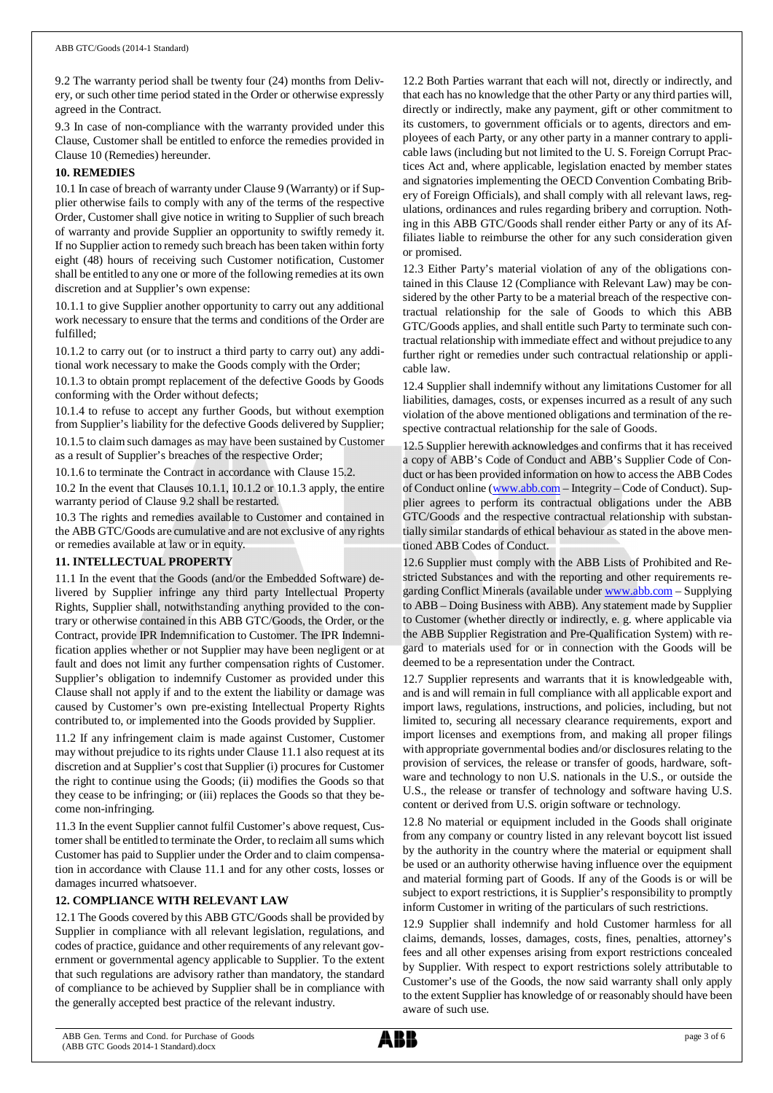9.2 The warranty period shall be twenty four (24) months from Delivery, or such other time period stated in the Order or otherwise expressly agreed in the Contract.

9.3 In case of non-compliance with the warranty provided under this Clause, Customer shall be entitled to enforce the remedies provided in Clause 10 (Remedies) hereunder.

#### **10. REMEDIES**

10.1 In case of breach of warranty under Clause 9 (Warranty) or if Supplier otherwise fails to comply with any of the terms of the respective Order, Customer shall give notice in writing to Supplier of such breach of warranty and provide Supplier an opportunity to swiftly remedy it. If no Supplier action to remedy such breach has been taken within forty eight (48) hours of receiving such Customer notification, Customer shall be entitled to any one or more of the following remedies at its own discretion and at Supplier's own expense:

10.1.1 to give Supplier another opportunity to carry out any additional work necessary to ensure that the terms and conditions of the Order are fulfilled;

10.1.2 to carry out (or to instruct a third party to carry out) any additional work necessary to make the Goods comply with the Order;

10.1.3 to obtain prompt replacement of the defective Goods by Goods conforming with the Order without defects;

10.1.4 to refuse to accept any further Goods, but without exemption from Supplier's liability for the defective Goods delivered by Supplier;

10.1.5 to claim such damages as may have been sustained by Customer as a result of Supplier's breaches of the respective Order;

10.1.6 to terminate the Contract in accordance with Clause 15.2.

10.2 In the event that Clauses 10.1.1, 10.1.2 or 10.1.3 apply, the entire warranty period of Clause 9.2 shall be restarted.

10.3 The rights and remedies available to Customer and contained in the ABB GTC/Goods are cumulative and are not exclusive of any rights or remedies available at law or in equity.

## **11. INTELLECTUAL PROPERTY**

11.1 In the event that the Goods (and/or the Embedded Software) delivered by Supplier infringe any third party Intellectual Property Rights, Supplier shall, notwithstanding anything provided to the contrary or otherwise contained in this ABB GTC/Goods, the Order, or the Contract, provide IPR Indemnification to Customer. The IPR Indemnification applies whether or not Supplier may have been negligent or at fault and does not limit any further compensation rights of Customer. Supplier's obligation to indemnify Customer as provided under this Clause shall not apply if and to the extent the liability or damage was caused by Customer's own pre-existing Intellectual Property Rights contributed to, or implemented into the Goods provided by Supplier.

11.2 If any infringement claim is made against Customer, Customer may without prejudice to its rights under Clause 11.1 also request at its discretion and at Supplier's cost that Supplier (i) procures for Customer the right to continue using the Goods; (ii) modifies the Goods so that they cease to be infringing; or (iii) replaces the Goods so that they become non-infringing.

11.3 In the event Supplier cannot fulfil Customer's above request, Customer shall be entitled to terminate the Order, to reclaim all sums which Customer has paid to Supplier under the Order and to claim compensation in accordance with Clause 11.1 and for any other costs, losses or damages incurred whatsoever.

## **12. COMPLIANCE WITH RELEVANT LAW**

12.1 The Goods covered by this ABB GTC/Goods shall be provided by Supplier in compliance with all relevant legislation, regulations, and codes of practice, guidance and other requirements of any relevant government or governmental agency applicable to Supplier. To the extent that such regulations are advisory rather than mandatory, the standard of compliance to be achieved by Supplier shall be in compliance with the generally accepted best practice of the relevant industry.

12.2 Both Parties warrant that each will not, directly or indirectly, and that each has no knowledge that the other Party or any third parties will, directly or indirectly, make any payment, gift or other commitment to its customers, to government officials or to agents, directors and employees of each Party, or any other party in a manner contrary to applicable laws (including but not limited to the U. S. Foreign Corrupt Practices Act and, where applicable, legislation enacted by member states and signatories implementing the OECD Convention Combating Bribery of Foreign Officials), and shall comply with all relevant laws, regulations, ordinances and rules regarding bribery and corruption. Nothing in this ABB GTC/Goods shall render either Party or any of its Affiliates liable to reimburse the other for any such consideration given or promised.

12.3 Either Party's material violation of any of the obligations contained in this Clause 12 (Compliance with Relevant Law) may be considered by the other Party to be a material breach of the respective contractual relationship for the sale of Goods to which this ABB GTC/Goods applies, and shall entitle such Party to terminate such contractual relationship with immediate effect and without prejudice to any further right or remedies under such contractual relationship or applicable law.

12.4 Supplier shall indemnify without any limitations Customer for all liabilities, damages, costs, or expenses incurred as a result of any such violation of the above mentioned obligations and termination of the respective contractual relationship for the sale of Goods.

12.5 Supplier herewith acknowledges and confirms that it has received a copy of ABB's Code of Conduct and ABB's Supplier Code of Conduct or has been provided information on how to access the ABB Codes of Conduct online ([www.abb.com](http://www.abb.com/) – Integrity – Code of Conduct). Supplier agrees to perform its contractual obligations under the ABB GTC/Goods and the respective contractual relationship with substantially similar standards of ethical behaviour as stated in the above mentioned ABB Codes of Conduct.

12.6 Supplier must comply with the ABB Lists of Prohibited and Restricted Substances and with the reporting and other requirements regarding Conflict Minerals (available under [www.abb.com](http://www.abb.com/) – Supplying to ABB – Doing Business with ABB). Any statement made by Supplier to Customer (whether directly or indirectly, e. g. where applicable via the ABB Supplier Registration and Pre-Qualification System) with regard to materials used for or in connection with the Goods will be deemed to be a representation under the Contract.

12.7 Supplier represents and warrants that it is knowledgeable with, and is and will remain in full compliance with all applicable export and import laws, regulations, instructions, and policies, including, but not limited to, securing all necessary clearance requirements, export and import licenses and exemptions from, and making all proper filings with appropriate governmental bodies and/or disclosures relating to the provision of services, the release or transfer of goods, hardware, software and technology to non U.S. nationals in the U.S., or outside the U.S., the release or transfer of technology and software having U.S. content or derived from U.S. origin software or technology.

12.8 No material or equipment included in the Goods shall originate from any company or country listed in any relevant boycott list issued by the authority in the country where the material or equipment shall be used or an authority otherwise having influence over the equipment and material forming part of Goods. If any of the Goods is or will be subject to export restrictions, it is Supplier's responsibility to promptly inform Customer in writing of the particulars of such restrictions.

12.9 Supplier shall indemnify and hold Customer harmless for all claims, demands, losses, damages, costs, fines, penalties, attorney's fees and all other expenses arising from export restrictions concealed by Supplier. With respect to export restrictions solely attributable to Customer's use of the Goods, the now said warranty shall only apply to the extent Supplier has knowledge of or reasonably should have been aware of such use.

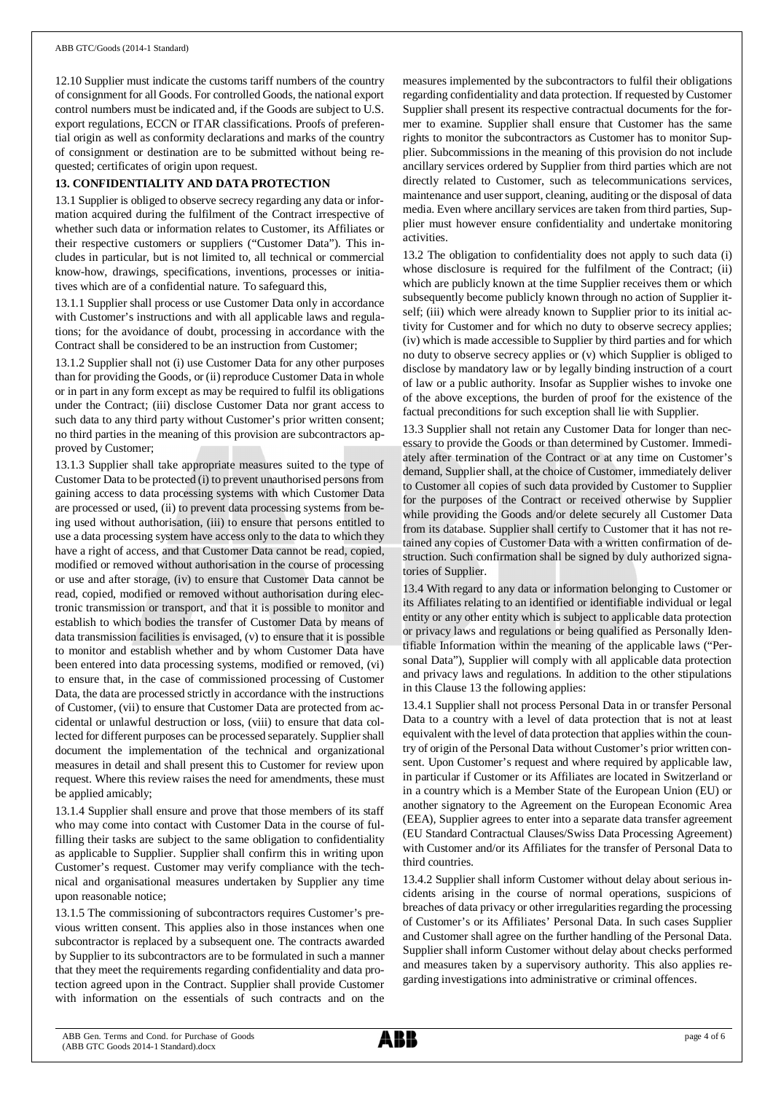12.10 Supplier must indicate the customs tariff numbers of the country of consignment for all Goods. For controlled Goods, the national export control numbers must be indicated and, if the Goods are subject to U.S. export regulations, ECCN or ITAR classifications. Proofs of preferential origin as well as conformity declarations and marks of the country of consignment or destination are to be submitted without being requested; certificates of origin upon request.

## **13. CONFIDENTIALITY AND DATA PROTECTION**

13.1 Supplier is obliged to observe secrecy regarding any data or information acquired during the fulfilment of the Contract irrespective of whether such data or information relates to Customer, its Affiliates or their respective customers or suppliers ("Customer Data"). This includes in particular, but is not limited to, all technical or commercial know-how, drawings, specifications, inventions, processes or initiatives which are of a confidential nature. To safeguard this,

13.1.1 Supplier shall process or use Customer Data only in accordance with Customer's instructions and with all applicable laws and regulations; for the avoidance of doubt, processing in accordance with the Contract shall be considered to be an instruction from Customer;

13.1.2 Supplier shall not (i) use Customer Data for any other purposes than for providing the Goods, or (ii) reproduce Customer Data in whole or in part in any form except as may be required to fulfil its obligations under the Contract; (iii) disclose Customer Data nor grant access to such data to any third party without Customer's prior written consent; no third parties in the meaning of this provision are subcontractors approved by Customer;

13.1.3 Supplier shall take appropriate measures suited to the type of Customer Data to be protected (i) to prevent unauthorised persons from gaining access to data processing systems with which Customer Data are processed or used, (ii) to prevent data processing systems from being used without authorisation, (iii) to ensure that persons entitled to use a data processing system have access only to the data to which they have a right of access, and that Customer Data cannot be read, copied, modified or removed without authorisation in the course of processing or use and after storage, (iv) to ensure that Customer Data cannot be read, copied, modified or removed without authorisation during electronic transmission or transport, and that it is possible to monitor and establish to which bodies the transfer of Customer Data by means of data transmission facilities is envisaged, (v) to ensure that it is possible to monitor and establish whether and by whom Customer Data have been entered into data processing systems, modified or removed, (vi) to ensure that, in the case of commissioned processing of Customer Data, the data are processed strictly in accordance with the instructions of Customer, (vii) to ensure that Customer Data are protected from accidental or unlawful destruction or loss, (viii) to ensure that data collected for different purposes can be processed separately. Supplier shall document the implementation of the technical and organizational measures in detail and shall present this to Customer for review upon request. Where this review raises the need for amendments, these must be applied amicably;

13.1.4 Supplier shall ensure and prove that those members of its staff who may come into contact with Customer Data in the course of fulfilling their tasks are subject to the same obligation to confidentiality as applicable to Supplier. Supplier shall confirm this in writing upon Customer's request. Customer may verify compliance with the technical and organisational measures undertaken by Supplier any time upon reasonable notice;

13.1.5 The commissioning of subcontractors requires Customer's previous written consent. This applies also in those instances when one subcontractor is replaced by a subsequent one. The contracts awarded by Supplier to its subcontractors are to be formulated in such a manner that they meet the requirements regarding confidentiality and data protection agreed upon in the Contract. Supplier shall provide Customer with information on the essentials of such contracts and on the

measures implemented by the subcontractors to fulfil their obligations regarding confidentiality and data protection. If requested by Customer Supplier shall present its respective contractual documents for the former to examine. Supplier shall ensure that Customer has the same rights to monitor the subcontractors as Customer has to monitor Supplier. Subcommissions in the meaning of this provision do not include ancillary services ordered by Supplier from third parties which are not directly related to Customer, such as telecommunications services, maintenance and user support, cleaning, auditing or the disposal of data media. Even where ancillary services are taken from third parties, Supplier must however ensure confidentiality and undertake monitoring activities.

13.2 The obligation to confidentiality does not apply to such data (i) whose disclosure is required for the fulfilment of the Contract; (ii) which are publicly known at the time Supplier receives them or which subsequently become publicly known through no action of Supplier itself; (iii) which were already known to Supplier prior to its initial activity for Customer and for which no duty to observe secrecy applies; (iv) which is made accessible to Supplier by third parties and for which no duty to observe secrecy applies or (v) which Supplier is obliged to disclose by mandatory law or by legally binding instruction of a court of law or a public authority. Insofar as Supplier wishes to invoke one of the above exceptions, the burden of proof for the existence of the factual preconditions for such exception shall lie with Supplier.

13.3 Supplier shall not retain any Customer Data for longer than necessary to provide the Goods or than determined by Customer. Immediately after termination of the Contract or at any time on Customer's demand, Supplier shall, at the choice of Customer, immediately deliver to Customer all copies of such data provided by Customer to Supplier for the purposes of the Contract or received otherwise by Supplier while providing the Goods and/or delete securely all Customer Data from its database. Supplier shall certify to Customer that it has not retained any copies of Customer Data with a written confirmation of destruction. Such confirmation shall be signed by duly authorized signatories of Supplier.

13.4 With regard to any data or information belonging to Customer or its Affiliates relating to an identified or identifiable individual or legal entity or any other entity which is subject to applicable data protection or privacy laws and regulations or being qualified as Personally Identifiable Information within the meaning of the applicable laws ("Personal Data"), Supplier will comply with all applicable data protection and privacy laws and regulations. In addition to the other stipulations in this Clause 13 the following applies:

13.4.1 Supplier shall not process Personal Data in or transfer Personal Data to a country with a level of data protection that is not at least equivalent with the level of data protection that applies within the country of origin of the Personal Data without Customer's prior written consent. Upon Customer's request and where required by applicable law, in particular if Customer or its Affiliates are located in Switzerland or in a country which is a Member State of the European Union (EU) or another signatory to the Agreement on the European Economic Area (EEA), Supplier agrees to enter into a separate data transfer agreement (EU Standard Contractual Clauses/Swiss Data Processing Agreement) with Customer and/or its Affiliates for the transfer of Personal Data to third countries.

13.4.2 Supplier shall inform Customer without delay about serious incidents arising in the course of normal operations, suspicions of breaches of data privacy or other irregularities regarding the processing of Customer's or its Affiliates' Personal Data. In such cases Supplier and Customer shall agree on the further handling of the Personal Data. Supplier shall inform Customer without delay about checks performed and measures taken by a supervisory authority. This also applies regarding investigations into administrative or criminal offences.

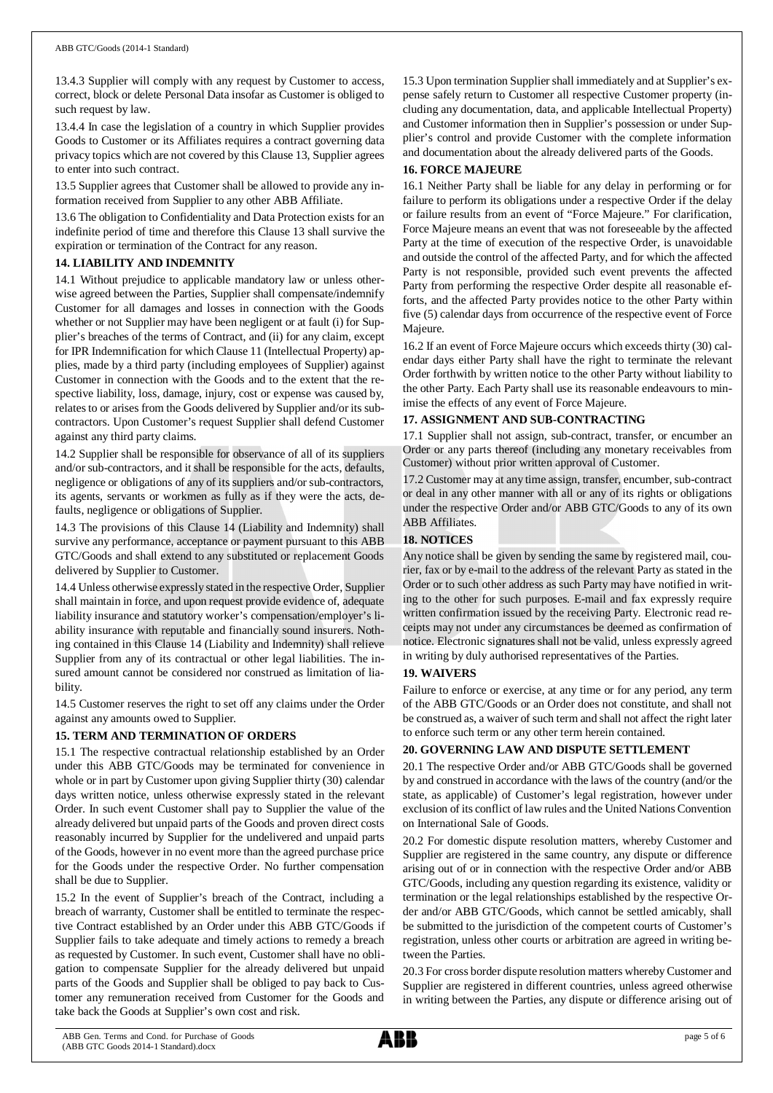13.4.3 Supplier will comply with any request by Customer to access, correct, block or delete Personal Data insofar as Customer is obliged to such request by law.

13.4.4 In case the legislation of a country in which Supplier provides Goods to Customer or its Affiliates requires a contract governing data privacy topics which are not covered by this Clause 13, Supplier agrees to enter into such contract.

13.5 Supplier agrees that Customer shall be allowed to provide any information received from Supplier to any other ABB Affiliate.

13.6 The obligation to Confidentiality and Data Protection exists for an indefinite period of time and therefore this Clause 13 shall survive the expiration or termination of the Contract for any reason.

#### **14. LIABILITY AND INDEMNITY**

14.1 Without prejudice to applicable mandatory law or unless otherwise agreed between the Parties, Supplier shall compensate/indemnify Customer for all damages and losses in connection with the Goods whether or not Supplier may have been negligent or at fault (i) for Supplier's breaches of the terms of Contract, and (ii) for any claim, except for IPR Indemnification for which Clause 11 (Intellectual Property) applies, made by a third party (including employees of Supplier) against Customer in connection with the Goods and to the extent that the respective liability, loss, damage, injury, cost or expense was caused by, relates to or arises from the Goods delivered by Supplier and/or its subcontractors. Upon Customer's request Supplier shall defend Customer against any third party claims.

14.2 Supplier shall be responsible for observance of all of its suppliers and/or sub-contractors, and it shall be responsible for the acts, defaults, negligence or obligations of any of its suppliers and/or sub-contractors, its agents, servants or workmen as fully as if they were the acts, defaults, negligence or obligations of Supplier.

14.3 The provisions of this Clause 14 (Liability and Indemnity) shall survive any performance, acceptance or payment pursuant to this ABB GTC/Goods and shall extend to any substituted or replacement Goods delivered by Supplier to Customer.

14.4 Unless otherwise expressly stated in the respective Order, Supplier shall maintain in force, and upon request provide evidence of, adequate liability insurance and statutory worker's compensation/employer's liability insurance with reputable and financially sound insurers. Nothing contained in this Clause 14 (Liability and Indemnity) shall relieve Supplier from any of its contractual or other legal liabilities. The insured amount cannot be considered nor construed as limitation of liability.

14.5 Customer reserves the right to set off any claims under the Order against any amounts owed to Supplier.

## **15. TERM AND TERMINATION OF ORDERS**

15.1 The respective contractual relationship established by an Order under this ABB GTC/Goods may be terminated for convenience in whole or in part by Customer upon giving Supplier thirty (30) calendar days written notice, unless otherwise expressly stated in the relevant Order. In such event Customer shall pay to Supplier the value of the already delivered but unpaid parts of the Goods and proven direct costs reasonably incurred by Supplier for the undelivered and unpaid parts of the Goods, however in no event more than the agreed purchase price for the Goods under the respective Order. No further compensation shall be due to Supplier.

15.2 In the event of Supplier's breach of the Contract, including a breach of warranty, Customer shall be entitled to terminate the respective Contract established by an Order under this ABB GTC/Goods if Supplier fails to take adequate and timely actions to remedy a breach as requested by Customer. In such event, Customer shall have no obligation to compensate Supplier for the already delivered but unpaid parts of the Goods and Supplier shall be obliged to pay back to Customer any remuneration received from Customer for the Goods and take back the Goods at Supplier's own cost and risk.

15.3 Upon termination Supplier shall immediately and at Supplier's expense safely return to Customer all respective Customer property (including any documentation, data, and applicable Intellectual Property) and Customer information then in Supplier's possession or under Supplier's control and provide Customer with the complete information and documentation about the already delivered parts of the Goods.

## **16. FORCE MAJEURE**

16.1 Neither Party shall be liable for any delay in performing or for failure to perform its obligations under a respective Order if the delay or failure results from an event of "Force Majeure." For clarification, Force Majeure means an event that was not foreseeable by the affected Party at the time of execution of the respective Order, is unavoidable and outside the control of the affected Party, and for which the affected Party is not responsible, provided such event prevents the affected Party from performing the respective Order despite all reasonable efforts, and the affected Party provides notice to the other Party within five (5) calendar days from occurrence of the respective event of Force Majeure.

16.2 If an event of Force Majeure occurs which exceeds thirty (30) calendar days either Party shall have the right to terminate the relevant Order forthwith by written notice to the other Party without liability to the other Party. Each Party shall use its reasonable endeavours to minimise the effects of any event of Force Majeure.

## **17. ASSIGNMENT AND SUB-CONTRACTING**

17.1 Supplier shall not assign, sub-contract, transfer, or encumber an Order or any parts thereof (including any monetary receivables from Customer) without prior written approval of Customer.

17.2 Customer may at any time assign, transfer, encumber, sub-contract or deal in any other manner with all or any of its rights or obligations under the respective Order and/or ABB GTC/Goods to any of its own ABB Affiliates.

## **18. NOTICES**

Any notice shall be given by sending the same by registered mail, courier, fax or by e-mail to the address of the relevant Party as stated in the Order or to such other address as such Party may have notified in writing to the other for such purposes. E-mail and fax expressly require written confirmation issued by the receiving Party. Electronic read receipts may not under any circumstances be deemed as confirmation of notice. Electronic signatures shall not be valid, unless expressly agreed in writing by duly authorised representatives of the Parties.

## **19. WAIVERS**

Failure to enforce or exercise, at any time or for any period, any term of the ABB GTC/Goods or an Order does not constitute, and shall not be construed as, a waiver of such term and shall not affect the right later to enforce such term or any other term herein contained.

## **20. GOVERNING LAW AND DISPUTE SETTLEMENT**

20.1 The respective Order and/or ABB GTC/Goods shall be governed by and construed in accordance with the laws of the country (and/or the state, as applicable) of Customer's legal registration, however under exclusion of its conflict of law rules and the United Nations Convention on International Sale of Goods.

20.2 For domestic dispute resolution matters, whereby Customer and Supplier are registered in the same country, any dispute or difference arising out of or in connection with the respective Order and/or ABB GTC/Goods, including any question regarding its existence, validity or termination or the legal relationships established by the respective Order and/or ABB GTC/Goods, which cannot be settled amicably, shall be submitted to the jurisdiction of the competent courts of Customer's registration, unless other courts or arbitration are agreed in writing between the Parties.

20.3 For cross border dispute resolution matters whereby Customer and Supplier are registered in different countries, unless agreed otherwise in writing between the Parties, any dispute or difference arising out of